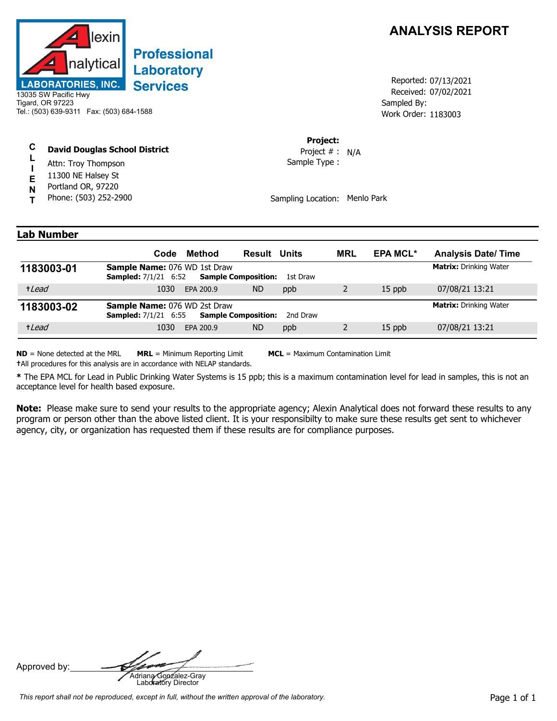

# **Professional** Laboratory **Services**

13035 SW Pacific Hwy Tigard, OR 97223 Tel.: (503) 639-9311 Fax: (503) 684-1588

#### **C David Douglas School District**

- **L I** Attn: Troy Thompson
- **E** 11300 NE Halsey St
- **N** Portland OR, 97220
- **T** Phone: (503) 252-2900

## **ANALYSIS REPORT**

Received: 07/02/2021 Work Order: 1183003 Reported: 07/13/2021 Sampled By:

#### **Project:**

Sample Type : Project # : N/A

Sampling Location: Menlo Park

### **Lab Number**

|            | Code                                                               | Method                        | <b>Result Units</b>        |          | <b>MRL</b> | <b>EPA MCL*</b> | <b>Analysis Date/Time</b>     |
|------------|--------------------------------------------------------------------|-------------------------------|----------------------------|----------|------------|-----------------|-------------------------------|
| 1183003-01 | <b>Sample Name: 076 WD 1st Draw</b><br><b>Sampled:</b> 7/1/21 6:52 |                               | <b>Sample Composition:</b> | 1st Draw |            |                 | <b>Matrix:</b> Drinking Water |
| +Lead      | 1030                                                               | EPA 200.9                     | <b>ND</b>                  | ppb      |            | $15$ ppb        | 07/08/21 13:21                |
| 1183003-02 | <b>Sample Name: 076 WD 2st Draw</b><br><b>Sampled:</b> 7/1/21 6:55 | <b>Matrix:</b> Drinking Water |                            |          |            |                 |                               |
| +Lead      | 1030                                                               | EPA 200.9                     | <b>ND</b>                  | ppb      |            | 15 ppb          | 07/08/21 13:21                |

**ND** = None detected at the MRL **MRL** = Minimum Reporting Limit **MCL** = Maximum Contamination Limit

**†**All procedures for this analysis are in accordance with NELAP standards.

**\*** The EPA MCL for Lead in Public Drinking Water Systems is 15 ppb; this is a maximum contamination level for lead in samples, this is not an acceptance level for health based exposure.

**Note:** Please make sure to send your results to the appropriate agency; Alexin Analytical does not forward these results to any program or person other than the above listed client. It is your responsibilty to make sure these results get sent to whichever agency, city, or organization has requested them if these results are for compliance purposes.

Approved by: **Adriana Gonzalez-Gray**<br>Adriana Gonzalez-Gray<br>Laboratory Director